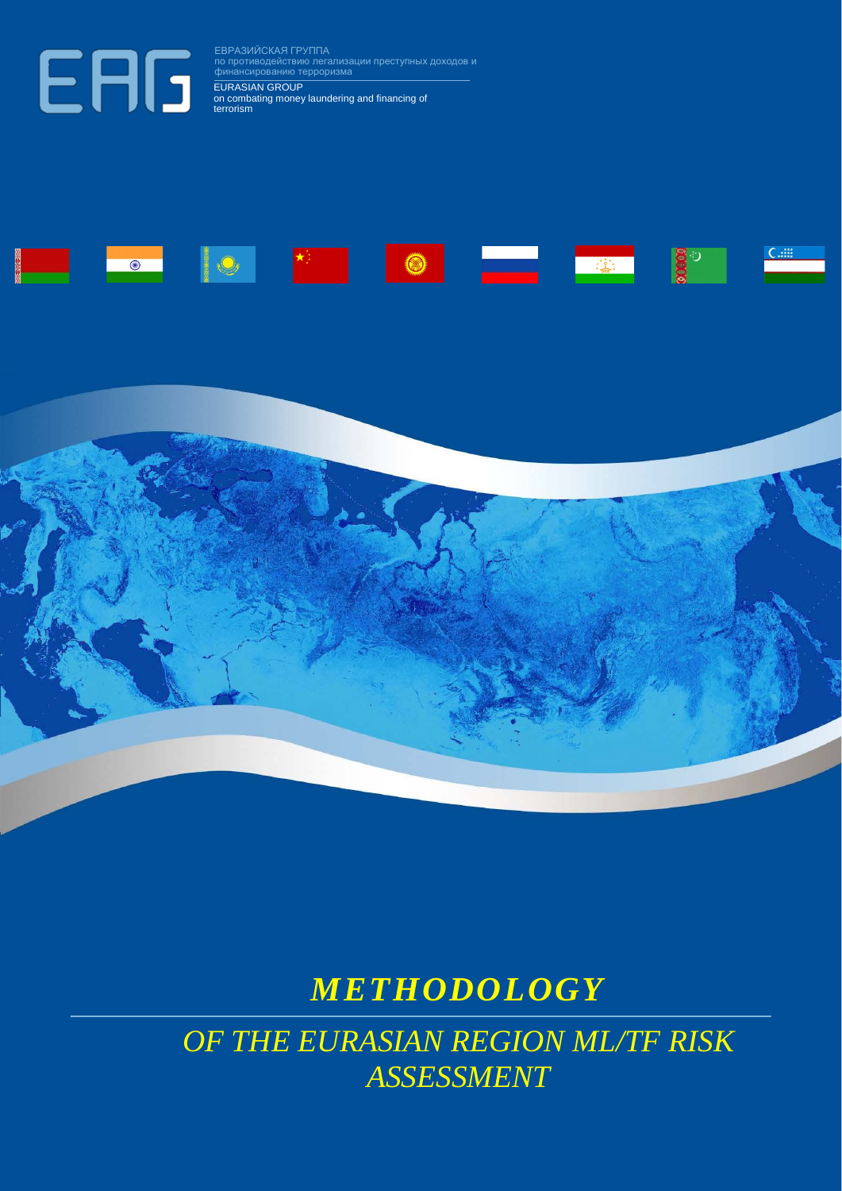ЕВРАЗИЙСКАЯ ГРУППА по противодействию легализации преступных доходов и финансированию терроризма EURASIAN GROUP on combating money laundering and financing of terrorism





# *METHODOLOGY*

*OF THE EURASIAN REGION ML/TF RISK ASSESSMENT*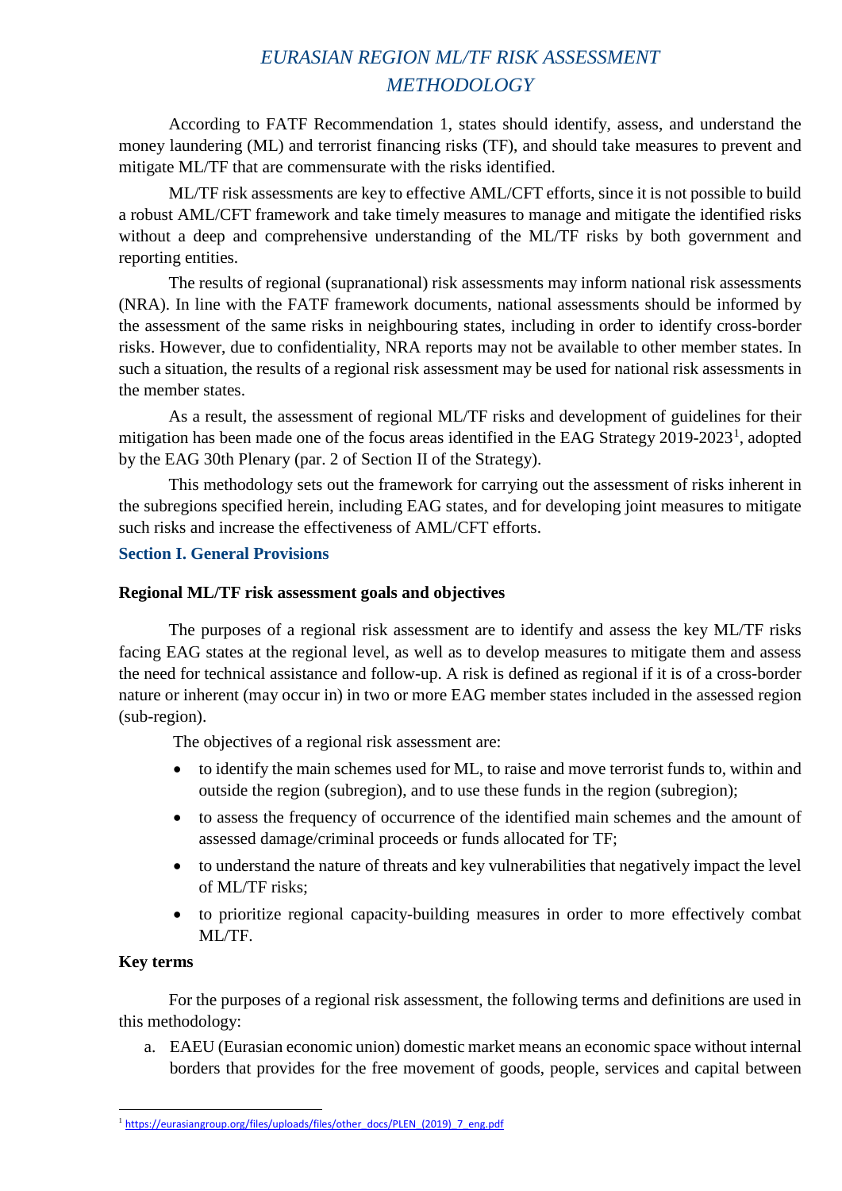## *EURASIAN REGION ML/TF RISK ASSESSMENT METHODOLOGY*

According to FATF Recommendation 1, states should identify, assess, and understand the money laundering (ML) and terrorist financing risks (TF), and should take measures to prevent and mitigate ML/TF that are commensurate with the risks identified.

ML/TF risk assessments are key to effective AML/CFT efforts, since it is not possible to build a robust AML/CFT framework and take timely measures to manage and mitigate the identified risks without a deep and comprehensive understanding of the ML/TF risks by both government and reporting entities.

The results of regional (supranational) risk assessments may inform national risk assessments (NRA). In line with the FATF framework documents, national assessments should be informed by the assessment of the same risks in neighbouring states, including in order to identify cross-border risks. However, due to confidentiality, NRA reports may not be available to other member states. In such a situation, the results of a regional risk assessment may be used for national risk assessments in the member states.

As a result, the assessment of regional ML/TF risks and development of guidelines for their mitigation has been made one of the focus areas identified in the EAG Strategy  $2019-2023<sup>1</sup>$  $2019-2023<sup>1</sup>$  $2019-2023<sup>1</sup>$ , adopted by the EAG 30th Plenary (par. 2 of Section II of the Strategy).

This methodology sets out the framework for carrying out the assessment of risks inherent in the subregions specified herein, including EAG states, and for developing joint measures to mitigate such risks and increase the effectiveness of AML/CFT efforts.

## **Section I. General Provisions**

## **Regional ML/TF risk assessment goals and objectives**

The purposes of a regional risk assessment are to identify and assess the key ML/TF risks facing EAG states at the regional level, as well as to develop measures to mitigate them and assess the need for technical assistance and follow-up. A risk is defined as regional if it is of a cross-border nature or inherent (may occur in) in two or more EAG member states included in the assessed region (sub-region).

The objectives of a regional risk assessment are:

- to identify the main schemes used for ML, to raise and move terrorist funds to, within and outside the region (subregion), and to use these funds in the region (subregion);
- to assess the frequency of occurrence of the identified main schemes and the amount of assessed damage/criminal proceeds or funds allocated for TF;
- to understand the nature of threats and key vulnerabilities that negatively impact the level of ML/TF risks;
- to prioritize regional capacity-building measures in order to more effectively combat ML/TF.

## **Key terms**

For the purposes of a regional risk assessment, the following terms and definitions are used in this methodology:

a. EAEU (Eurasian economic union) domestic market means an economic space without internal borders that provides for the free movement of goods, people, services and capital between

<span id="page-1-0"></span><sup>1</sup> [https://eurasiangroup.org/files/uploads/files/other\\_docs/PLEN\\_\(2019\)\\_7\\_eng.pdf](https://eurasiangroup.org/files/uploads/files/other_docs/PLEN_(2019)_7_eng.pdf)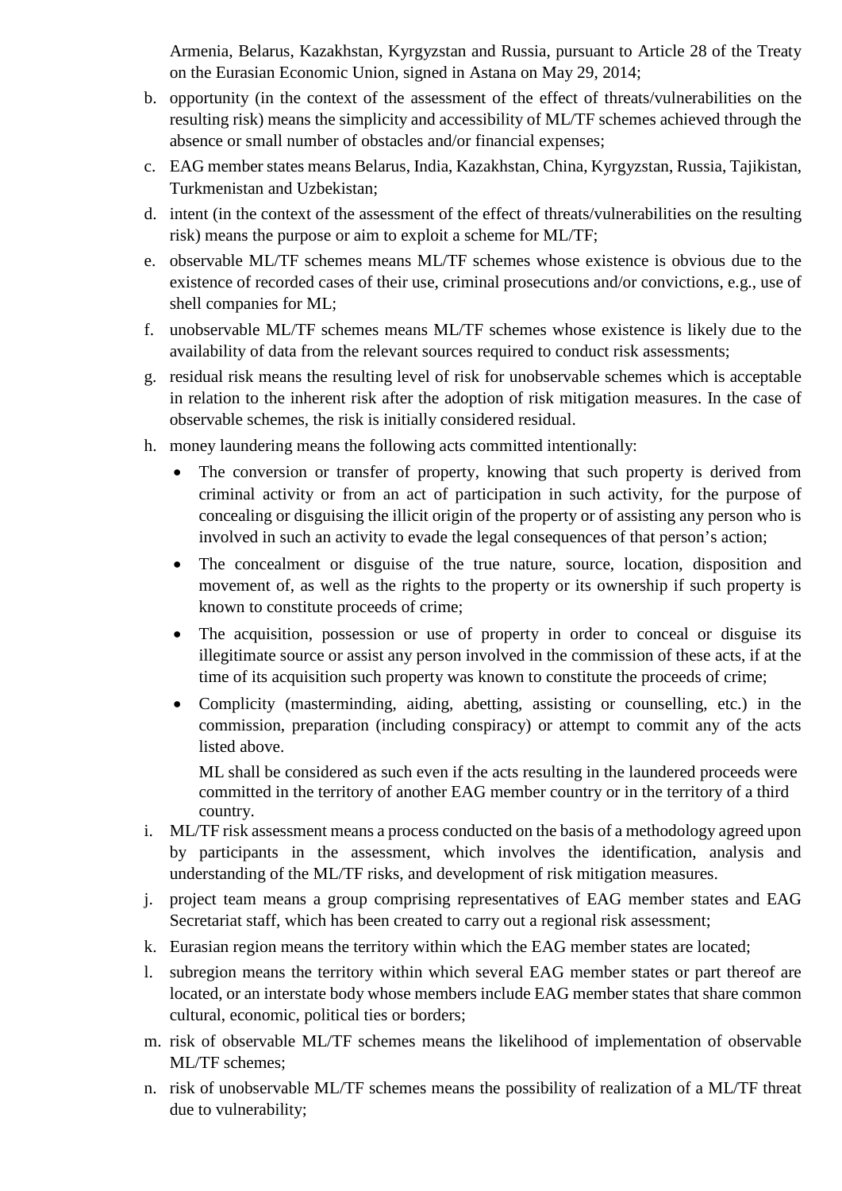Armenia, Belarus, Kazakhstan, Kyrgyzstan and Russia, pursuant to Article 28 of the Treaty on the Eurasian Economic Union, signed in Astana on May 29, 2014;

- b. opportunity (in the context of the assessment of the effect of threats/vulnerabilities on the resulting risk) means the simplicity and accessibility of ML/TF schemes achieved through the absence or small number of obstacles and/or financial expenses;
- c. EAG member states means Belarus, India, Kazakhstan, China, Kyrgyzstan, Russia, Tajikistan, Turkmenistan and Uzbekistan;
- d. intent (in the context of the assessment of the effect of threats/vulnerabilities on the resulting risk) means the purpose or aim to exploit a scheme for ML/TF;
- e. observable ML/TF schemes means ML/TF schemes whose existence is obvious due to the existence of recorded cases of their use, criminal prosecutions and/or convictions, e.g., use of shell companies for ML;
- f. unobservable ML/TF schemes means ML/TF schemes whose existence is likely due to the availability of data from the relevant sources required to conduct risk assessments;
- g. residual risk means the resulting level of risk for unobservable schemes which is acceptable in relation to the inherent risk after the adoption of risk mitigation measures. In the case of observable schemes, the risk is initially considered residual.
- h. money laundering means the following acts committed intentionally:
	- The conversion or transfer of property, knowing that such property is derived from criminal activity or from an act of participation in such activity, for the purpose of concealing or disguising the illicit origin of the property or of assisting any person who is involved in such an activity to evade the legal consequences of that person's action;
	- The concealment or disguise of the true nature, source, location, disposition and movement of, as well as the rights to the property or its ownership if such property is known to constitute proceeds of crime;
	- The acquisition, possession or use of property in order to conceal or disguise its illegitimate source or assist any person involved in the commission of these acts, if at the time of its acquisition such property was known to constitute the proceeds of crime;
	- Complicity (masterminding, aiding, abetting, assisting or counselling, etc.) in the commission, preparation (including conspiracy) or attempt to commit any of the acts listed above.

ML shall be considered as such even if the acts resulting in the laundered proceeds were committed in the territory of another EAG member country or in the territory of a third country.

- i. ML/TF risk assessment means a process conducted on the basis of a methodology agreed upon by participants in the assessment, which involves the identification, analysis and understanding of the ML/TF risks, and development of risk mitigation measures.
- j. project team means a group comprising representatives of EAG member states and EAG Secretariat staff, which has been created to carry out a regional risk assessment;
- k. Eurasian region means the territory within which the EAG member states are located;
- l. subregion means the territory within which several EAG member states or part thereof are located, or an interstate body whose members include EAG member states that share common cultural, economic, political ties or borders;
- m. risk of observable ML/TF schemes means the likelihood of implementation of observable ML/TF schemes;
- n. risk of unobservable ML/TF schemes means the possibility of realization of a ML/TF threat due to vulnerability;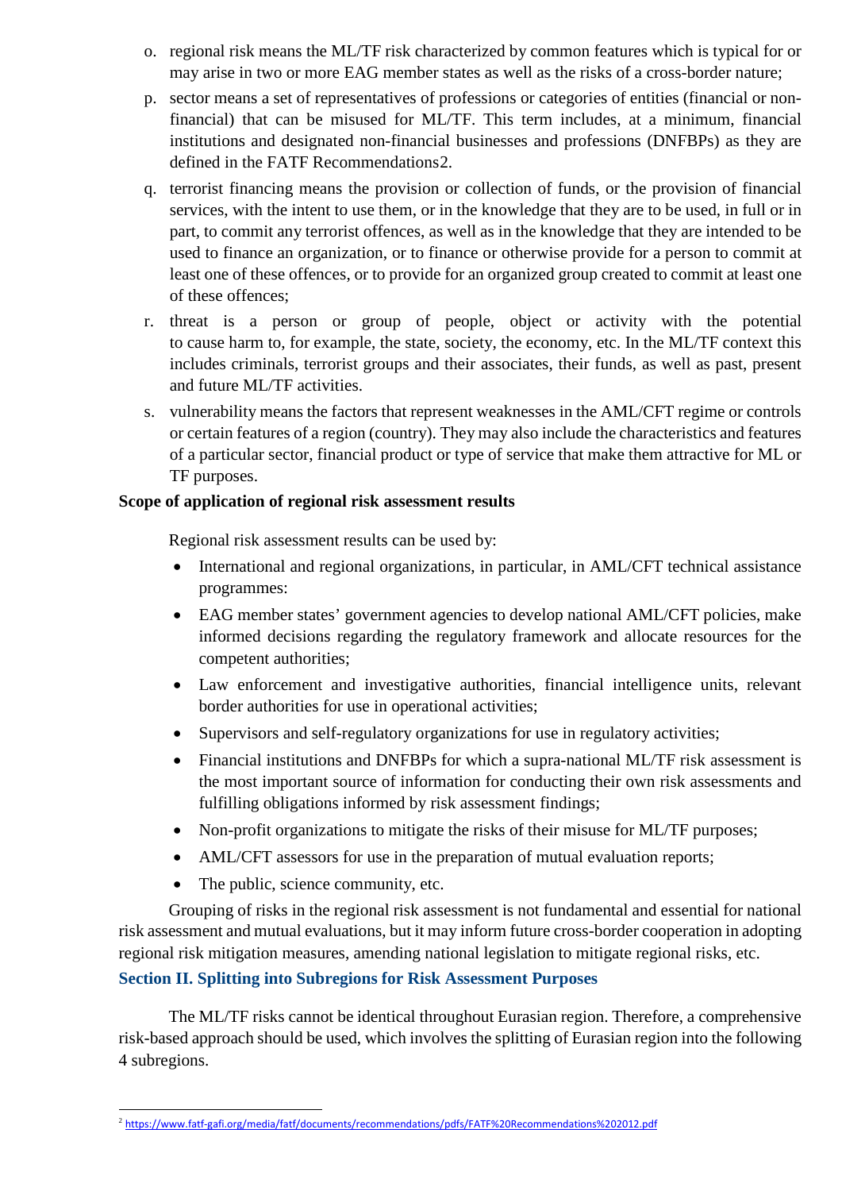- o. regional risk means the ML/TF risk characterized by common features which is typical for or may arise in two or more EAG member states as well as the risks of a cross-border nature;
- p. sector means a set of representatives of professions or categories of entities (financial or nonfinancial) that can be misused for ML/TF. This term includes, at a minimum, financial institutions and designated non-financial businesses and professions (DNFBPs) as they are defined in the FATF Recommendations[2](#page-3-0).
- q. terrorist financing means the provision or collection of funds, or the provision of financial services, with the intent to use them, or in the knowledge that they are to be used, in full or in part, to commit any terrorist offences, as well as in the knowledge that they are intended to be used to finance an organization, or to finance or otherwise provide for a person to commit at least one of these offences, or to provide for an organized group created to commit at least one of these offences;
- r. threat is a person or group of people, object or activity with the potential to cause harm to, for example, the state, society, the economy, etc. In the ML/TF context this includes criminals, terrorist groups and their associates, their funds, as well as past, present and future ML/TF activities.
- s. vulnerability means the factors that represent weaknesses in the AML/CFT regime or controls or certain features of a region (country). They may also include the characteristics and features of a particular sector, financial product or type of service that make them attractive for ML or TF purposes.

## **Scope of application of regional risk assessment results**

Regional risk assessment results can be used by:

- International and regional organizations, in particular, in AML/CFT technical assistance programmes:
- EAG member states' government agencies to develop national AML/CFT policies, make informed decisions regarding the regulatory framework and allocate resources for the competent authorities;
- Law enforcement and investigative authorities, financial intelligence units, relevant border authorities for use in operational activities;
- Supervisors and self-regulatory organizations for use in regulatory activities;
- Financial institutions and DNFBPs for which a supra-national ML/TF risk assessment is the most important source of information for conducting their own risk assessments and fulfilling obligations informed by risk assessment findings;
- Non-profit organizations to mitigate the risks of their misuse for ML/TF purposes;
- AML/CFT assessors for use in the preparation of mutual evaluation reports;
- The public, science community, etc.

Grouping of risks in the regional risk assessment is not fundamental and essential for national risk assessment and mutual evaluations, but it may inform future cross-border cooperation in adopting regional risk mitigation measures, amending national legislation to mitigate regional risks, etc.

## **Section II. Splitting into Subregions for Risk Assessment Purposes**

The ML/TF risks cannot be identical throughout Eurasian region. Therefore, a comprehensive risk-based approach should be used, which involves the splitting of Eurasian region into the following 4 subregions.

<span id="page-3-0"></span><sup>-</sup><sup>2</sup> <https://www.fatf-gafi.org/media/fatf/documents/recommendations/pdfs/FATF%20Recommendations%202012.pdf>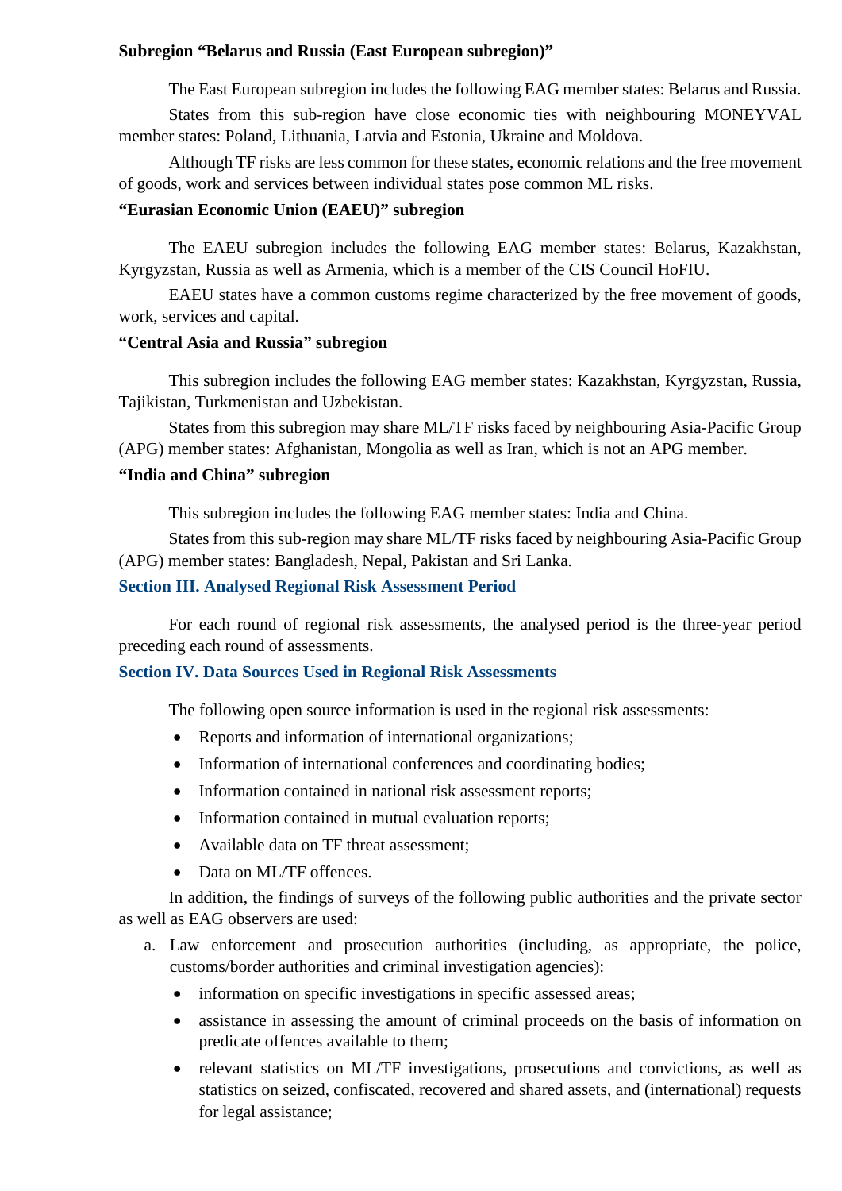#### **Subregion "Belarus and Russia (East European subregion)"**

The East European subregion includes the following EAG member states: Belarus and Russia.

States from this sub-region have close economic ties with neighbouring MONEYVAL member states: Poland, Lithuania, Latvia and Estonia, Ukraine and Moldova.

Although TF risks are less common for these states, economic relations and the free movement of goods, work and services between individual states pose common ML risks.

### **"Eurasian Economic Union (EAEU)" subregion**

The EAEU subregion includes the following EAG member states: Belarus, Kazakhstan, Kyrgyzstan, Russia as well as Armenia, which is a member of the CIS Council HoFIU.

EAEU states have a common customs regime characterized by the free movement of goods, work, services and capital.

#### **"Central Asia and Russia" subregion**

This subregion includes the following EAG member states: Kazakhstan, Kyrgyzstan, Russia, Tajikistan, Turkmenistan and Uzbekistan.

States from this subregion may share ML/TF risks faced by neighbouring Asia-Pacific Group (APG) member states: Afghanistan, Mongolia as well as Iran, which is not an APG member.

### **"India and China" subregion**

This subregion includes the following EAG member states: India and China.

States from this sub-region may share ML/TF risks faced by neighbouring Asia-Pacific Group (APG) member states: Bangladesh, Nepal, Pakistan and Sri Lanka.

### **Section III. Analysed Regional Risk Assessment Period**

For each round of regional risk assessments, the analysed period is the three-year period preceding each round of assessments.

#### **Section IV. Data Sources Used in Regional Risk Assessments**

The following open source information is used in the regional risk assessments:

- Reports and information of international organizations;
- Information of international conferences and coordinating bodies;
- Information contained in national risk assessment reports;
- Information contained in mutual evaluation reports;
- Available data on TF threat assessment:
- Data on ML/TF offences.

In addition, the findings of surveys of the following public authorities and the private sector as well as EAG observers are used:

- a. Law enforcement and prosecution authorities (including, as appropriate, the police, customs/border authorities and criminal investigation agencies):
	- information on specific investigations in specific assessed areas;
	- assistance in assessing the amount of criminal proceeds on the basis of information on predicate offences available to them;
	- relevant statistics on ML/TF investigations, prosecutions and convictions, as well as statistics on seized, confiscated, recovered and shared assets, and (international) requests for legal assistance;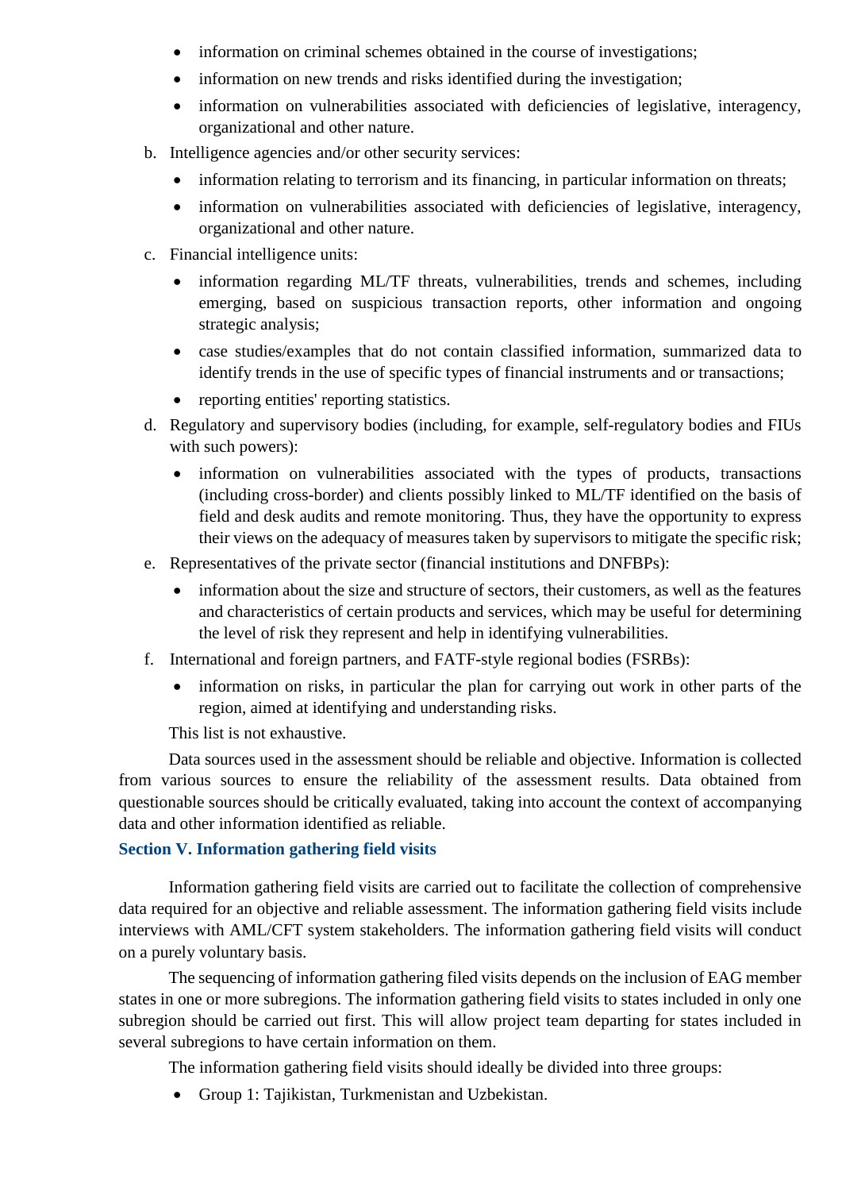- information on criminal schemes obtained in the course of investigations;
- information on new trends and risks identified during the investigation;
- information on vulnerabilities associated with deficiencies of legislative, interagency, organizational and other nature.
- b. Intelligence agencies and/or other security services:
	- information relating to terrorism and its financing, in particular information on threats;
	- information on vulnerabilities associated with deficiencies of legislative, interagency, organizational and other nature.
- c. Financial intelligence units:
	- information regarding ML/TF threats, vulnerabilities, trends and schemes, including emerging, based on suspicious transaction reports, other information and ongoing strategic analysis;
	- case studies/examples that do not contain classified information, summarized data to identify trends in the use of specific types of financial instruments and or transactions;
	- reporting entities' reporting statistics.
- d. Regulatory and supervisory bodies (including, for example, self-regulatory bodies and FIUs with such powers):
	- information on vulnerabilities associated with the types of products, transactions (including cross-border) and clients possibly linked to ML/TF identified on the basis of field and desk audits and remote monitoring. Thus, they have the opportunity to express their views on the adequacy of measures taken by supervisors to mitigate the specific risk;
- e. Representatives of the private sector (financial institutions and DNFBPs):
	- information about the size and structure of sectors, their customers, as well as the features and characteristics of certain products and services, which may be useful for determining the level of risk they represent and help in identifying vulnerabilities.
- f. International and foreign partners, and FATF-style regional bodies (FSRBs):
	- information on risks, in particular the plan for carrying out work in other parts of the region, aimed at identifying and understanding risks.

This list is not exhaustive.

Data sources used in the assessment should be reliable and objective. Information is collected from various sources to ensure the reliability of the assessment results. Data obtained from questionable sources should be critically evaluated, taking into account the context of accompanying data and other information identified as reliable.

## **Section V. Information gathering field visits**

Information gathering field visits are carried out to facilitate the collection of comprehensive data required for an objective and reliable assessment. The information gathering field visits include interviews with AML/CFT system stakeholders. The information gathering field visits will conduct on a purely voluntary basis.

The sequencing of information gathering filed visits depends on the inclusion of EAG member states in one or more subregions. The information gathering field visits to states included in only one subregion should be carried out first. This will allow project team departing for states included in several subregions to have certain information on them.

The information gathering field visits should ideally be divided into three groups:

• Group 1: Tajikistan, Turkmenistan and Uzbekistan.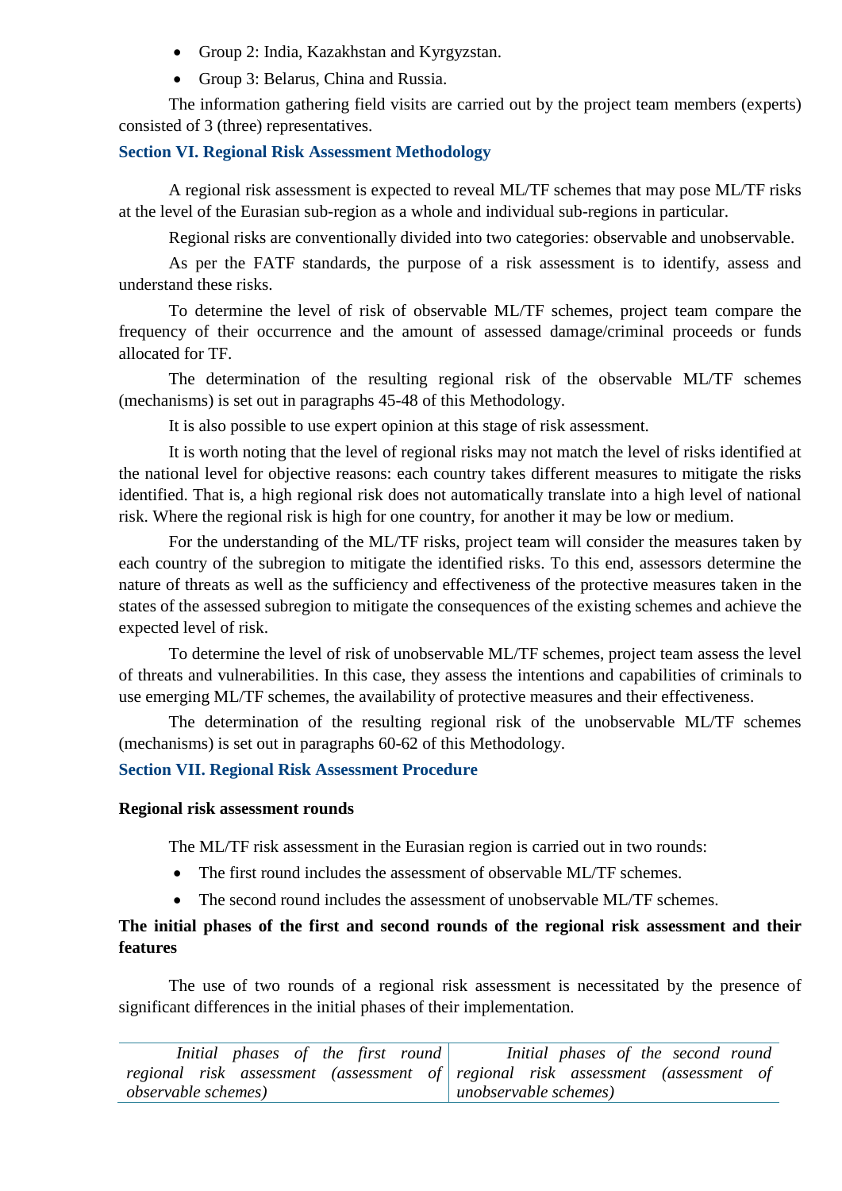- Group 2: India, Kazakhstan and Kyrgyzstan.
- Group 3: Belarus, China and Russia.

The information gathering field visits are carried out by the project team members (experts) consisted of 3 (three) representatives.

## **Section VI. Regional Risk Assessment Methodology**

A regional risk assessment is expected to reveal ML/TF schemes that may pose ML/TF risks at the level of the Eurasian sub-region as a whole and individual sub-regions in particular.

Regional risks are conventionally divided into two categories: observable and unobservable.

As per the FATF standards, the purpose of a risk assessment is to identify, assess and understand these risks.

To determine the level of risk of observable ML/TF schemes, project team compare the frequency of their occurrence and the amount of assessed damage/criminal proceeds or funds allocated for TF.

The determination of the resulting regional risk of the observable ML/TF schemes (mechanisms) is set out in paragraphs 45-48 of this Methodology.

It is also possible to use expert opinion at this stage of risk assessment.

It is worth noting that the level of regional risks may not match the level of risks identified at the national level for objective reasons: each country takes different measures to mitigate the risks identified. That is, a high regional risk does not automatically translate into a high level of national risk. Where the regional risk is high for one country, for another it may be low or medium.

For the understanding of the ML/TF risks, project team will consider the measures taken by each country of the subregion to mitigate the identified risks. To this end, assessors determine the nature of threats as well as the sufficiency and effectiveness of the protective measures taken in the states of the assessed subregion to mitigate the consequences of the existing schemes and achieve the expected level of risk.

To determine the level of risk of unobservable ML/TF schemes, project team assess the level of threats and vulnerabilities. In this case, they assess the intentions and capabilities of criminals to use emerging ML/TF schemes, the availability of protective measures and their effectiveness.

The determination of the resulting regional risk of the unobservable ML/TF schemes (mechanisms) is set out in paragraphs 60-62 of this Methodology.

## **Section VII. Regional Risk Assessment Procedure**

### **Regional risk assessment rounds**

The ML/TF risk assessment in the Eurasian region is carried out in two rounds:

- The first round includes the assessment of observable ML/TF schemes.
- The second round includes the assessment of unobservable ML/TF schemes.

## **The initial phases of the first and second rounds of the regional risk assessment and their features**

The use of two rounds of a regional risk assessment is necessitated by the presence of significant differences in the initial phases of their implementation.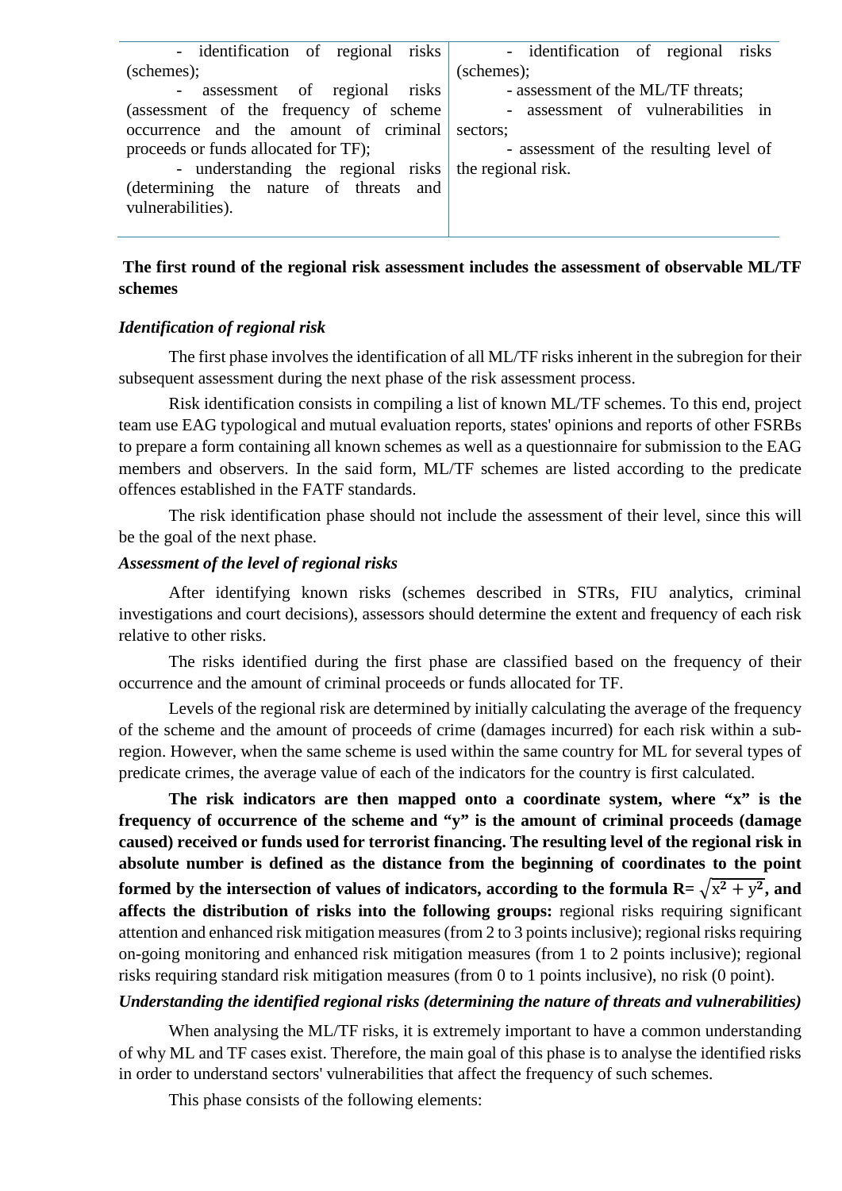| - identification of regional risks                    | - identification of regional risks     |
|-------------------------------------------------------|----------------------------------------|
| (schemes);                                            | (schemes);                             |
| - assessment of regional risks                        | - assessment of the ML/TF threats;     |
| (assessment of the frequency of scheme                | - assessment of vulnerabilities in     |
| occurrence and the amount of criminal sectors;        |                                        |
| proceeds or funds allocated for TF);                  | - assessment of the resulting level of |
| - understanding the regional risks the regional risk. |                                        |
| (determining the nature of threats and                |                                        |
| vulnerabilities).                                     |                                        |
|                                                       |                                        |

## **The first round of the regional risk assessment includes the assessment of observable ML/TF schemes**

#### *Identification of regional risk*

The first phase involves the identification of all ML/TF risks inherent in the subregion for their subsequent assessment during the next phase of the risk assessment process.

Risk identification consists in compiling a list of known ML/TF schemes. To this end, project team use EAG typological and mutual evaluation reports, states' opinions and reports of other FSRBs to prepare a form containing all known schemes as well as a questionnaire for submission to the EAG members and observers. In the said form, ML/TF schemes are listed according to the predicate offences established in the FATF standards.

The risk identification phase should not include the assessment of their level, since this will be the goal of the next phase.

#### *Assessment of the level of regional risks*

After identifying known risks (schemes described in STRs, FIU analytics, criminal investigations and court decisions), assessors should determine the extent and frequency of each risk relative to other risks.

The risks identified during the first phase are classified based on the frequency of their occurrence and the amount of criminal proceeds or funds allocated for TF.

Levels of the regional risk are determined by initially calculating the average of the frequency of the scheme and the amount of proceeds of crime (damages incurred) for each risk within a subregion. However, when the same scheme is used within the same country for ML for several types of predicate crimes, the average value of each of the indicators for the country is first calculated.

**The risk indicators are then mapped onto a coordinate system, where "x" is the frequency of occurrence of the scheme and "y" is the amount of criminal proceeds (damage caused) received or funds used for terrorist financing. The resulting level of the regional risk in absolute number is defined as the distance from the beginning of coordinates to the point formed by the intersection of values of indicators, according to the formula**  $R = \sqrt{x^2 + y^2}$ **, and affects the distribution of risks into the following groups:** regional risks requiring significant attention and enhanced risk mitigation measures (from 2 to 3 points inclusive); regional risks requiring on-going monitoring and enhanced risk mitigation measures (from 1 to 2 points inclusive); regional risks requiring standard risk mitigation measures (from 0 to 1 points inclusive), no risk (0 point).

#### *Understanding the identified regional risks (determining the nature of threats and vulnerabilities)*

When analysing the ML/TF risks, it is extremely important to have a common understanding of why ML and TF cases exist. Therefore, the main goal of this phase is to analyse the identified risks in order to understand sectors' vulnerabilities that affect the frequency of such schemes.

This phase consists of the following elements: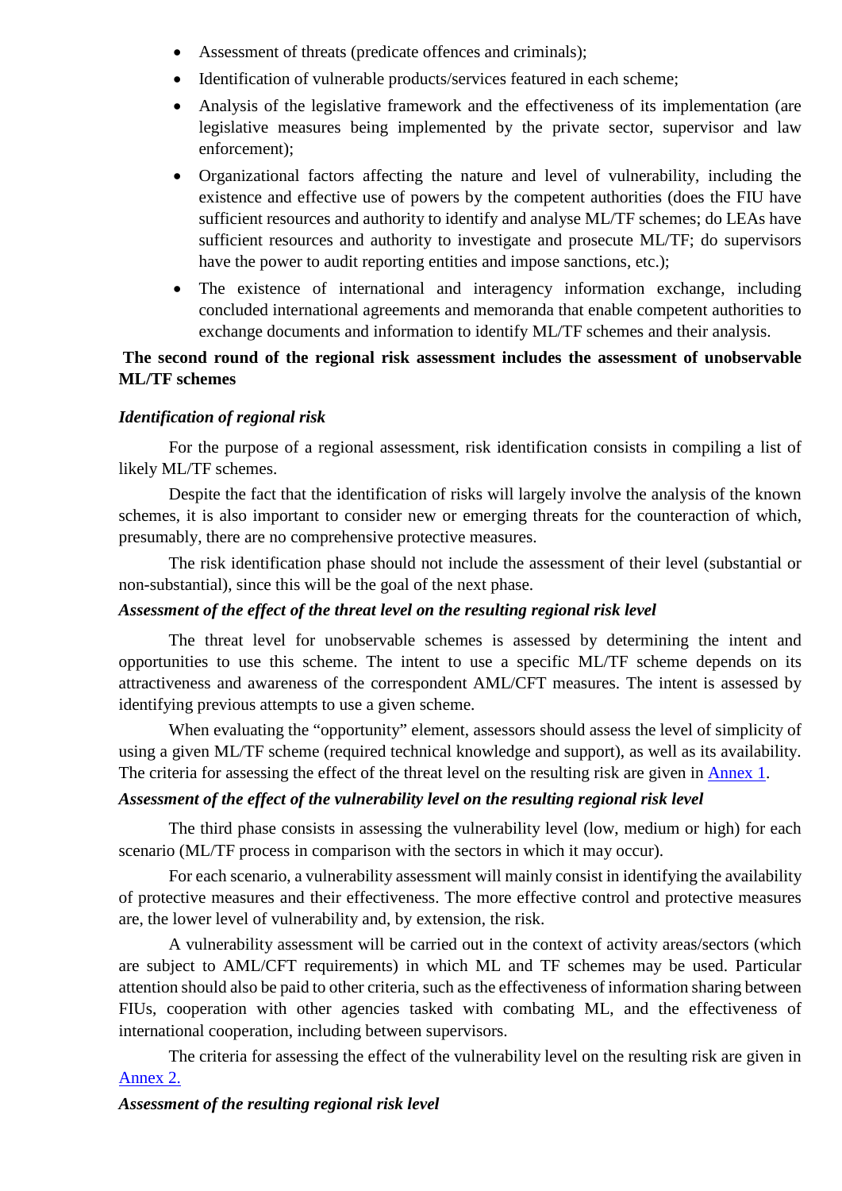- Assessment of threats (predicate offences and criminals);
- Identification of vulnerable products/services featured in each scheme;
- Analysis of the legislative framework and the effectiveness of its implementation (are legislative measures being implemented by the private sector, supervisor and law enforcement);
- Organizational factors affecting the nature and level of vulnerability, including the existence and effective use of powers by the competent authorities (does the FIU have sufficient resources and authority to identify and analyse ML/TF schemes; do LEAs have sufficient resources and authority to investigate and prosecute ML/TF; do supervisors have the power to audit reporting entities and impose sanctions, etc.);
- The existence of international and interagency information exchange, including concluded international agreements and memoranda that enable competent authorities to exchange documents and information to identify ML/TF schemes and their analysis.

## **The second round of the regional risk assessment includes the assessment of unobservable ML/TF schemes**

## *Identification of regional risk*

For the purpose of a regional assessment, risk identification consists in compiling a list of likely ML/TF schemes.

Despite the fact that the identification of risks will largely involve the analysis of the known schemes, it is also important to consider new or emerging threats for the counteraction of which, presumably, there are no comprehensive protective measures.

The risk identification phase should not include the assessment of their level (substantial or non-substantial), since this will be the goal of the next phase.

### *Assessment of the effect of the threat level on the resulting regional risk level*

The threat level for unobservable schemes is assessed by determining the intent and opportunities to use this scheme. The intent to use a specific ML/TF scheme depends on its attractiveness and awareness of the correspondent AML/CFT measures. The intent is assessed by identifying previous attempts to use a given scheme.

When evaluating the "opportunity" element, assessors should assess the level of simplicity of using a given ML/TF scheme (required technical knowledge and support), as well as its availability. The criteria for assessing the effect of the threat level on the resulting risk are given in [Annex 1.](#page-10-0)

## *Assessment of the effect of the vulnerability level on the resulting regional risk level*

The third phase consists in assessing the vulnerability level (low, medium or high) for each scenario (ML/TF process in comparison with the sectors in which it may occur).

For each scenario, a vulnerability assessment will mainly consist in identifying the availability of protective measures and their effectiveness. The more effective control and protective measures are, the lower level of vulnerability and, by extension, the risk.

A vulnerability assessment will be carried out in the context of activity areas/sectors (which are subject to AML/CFT requirements) in which ML and TF schemes may be used. Particular attention should also be paid to other criteria, such as the effectiveness of information sharing between FIUs, cooperation with other agencies tasked with combating ML, and the effectiveness of international cooperation, including between supervisors.

The criteria for assessing the effect of the vulnerability level on the resulting risk are given in [Annex 2.](#page-10-1) 

## *Assessment of the resulting regional risk level*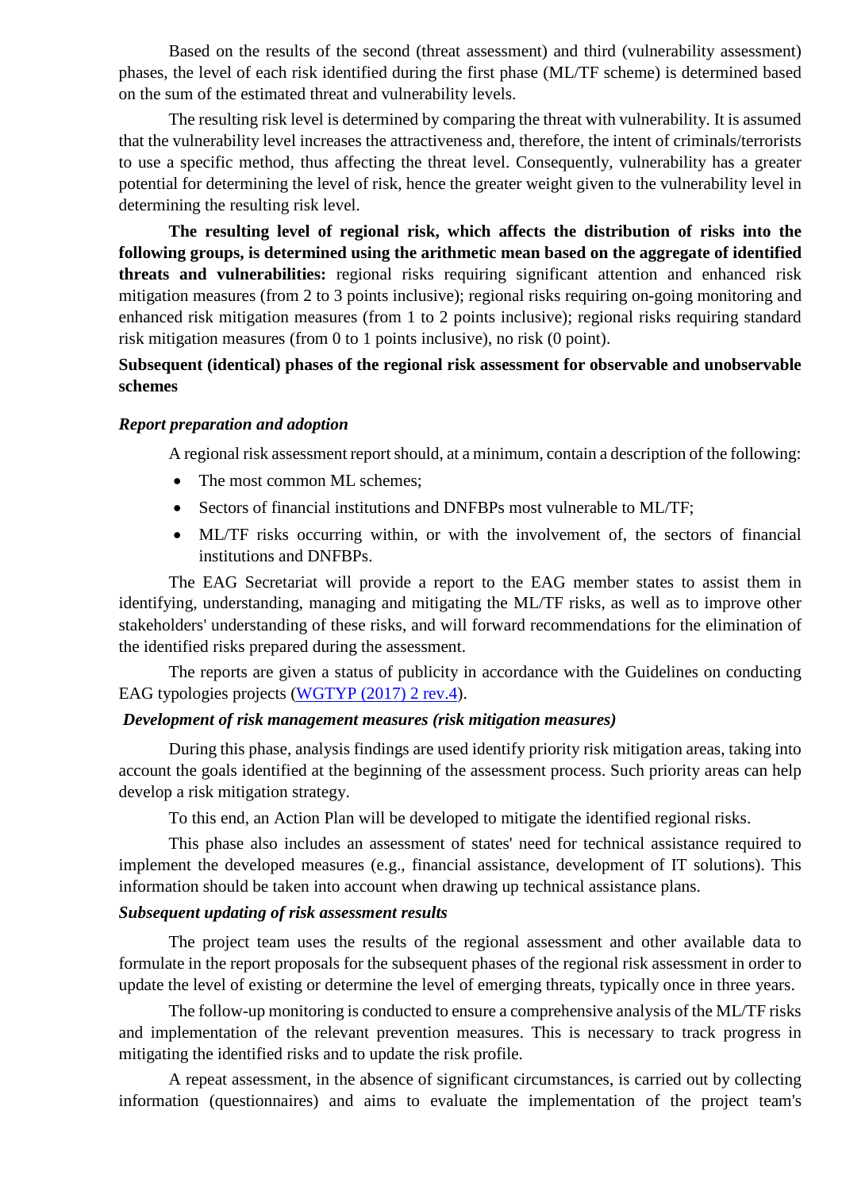Based on the results of the second (threat assessment) and third (vulnerability assessment) phases, the level of each risk identified during the first phase (ML/TF scheme) is determined based on the sum of the estimated threat and vulnerability levels.

The resulting risk level is determined by comparing the threat with vulnerability. It is assumed that the vulnerability level increases the attractiveness and, therefore, the intent of criminals/terrorists to use a specific method, thus affecting the threat level. Consequently, vulnerability has a greater potential for determining the level of risk, hence the greater weight given to the vulnerability level in determining the resulting risk level.

**The resulting level of regional risk, which affects the distribution of risks into the following groups, is determined using the arithmetic mean based on the aggregate of identified threats and vulnerabilities:** regional risks requiring significant attention and enhanced risk mitigation measures (from 2 to 3 points inclusive); regional risks requiring on-going monitoring and enhanced risk mitigation measures (from 1 to 2 points inclusive); regional risks requiring standard risk mitigation measures (from 0 to 1 points inclusive), no risk (0 point).

## **Subsequent (identical) phases of the regional risk assessment for observable and unobservable schemes**

#### *Report preparation and adoption*

A regional risk assessment report should, at a minimum, contain a description of the following:

- The most common ML schemes;
- Sectors of financial institutions and DNFBPs most vulnerable to ML/TF;
- ML/TF risks occurring within, or with the involvement of, the sectors of financial institutions and DNFBPs.

The EAG Secretariat will provide a report to the EAG member states to assist them in identifying, understanding, managing and mitigating the ML/TF risks, as well as to improve other stakeholders' understanding of these risks, and will forward recommendations for the elimination of the identified risks prepared during the assessment.

The reports are given a status of publicity in accordance with the Guidelines on conducting EAG typologies projects [\(WGTYP \(2017\) 2 rev.4\)](https://eurasiangroup.org/d.php?doc=0b446937e02181678bc62c60964db139).

## *Development of risk management measures (risk mitigation measures)*

During this phase, analysis findings are used identify priority risk mitigation areas, taking into account the goals identified at the beginning of the assessment process. Such priority areas can help develop a risk mitigation strategy.

To this end, an Action Plan will be developed to mitigate the identified regional risks.

This phase also includes an assessment of states' need for technical assistance required to implement the developed measures (e.g., financial assistance, development of IT solutions). This information should be taken into account when drawing up technical assistance plans.

#### *Subsequent updating of risk assessment results*

The project team uses the results of the regional assessment and other available data to formulate in the report proposals for the subsequent phases of the regional risk assessment in order to update the level of existing or determine the level of emerging threats, typically once in three years.

The follow-up monitoring is conducted to ensure a comprehensive analysis of the ML/TF risks and implementation of the relevant prevention measures. This is necessary to track progress in mitigating the identified risks and to update the risk profile.

A repeat assessment, in the absence of significant circumstances, is carried out by collecting information (questionnaires) and aims to evaluate the implementation of the project team's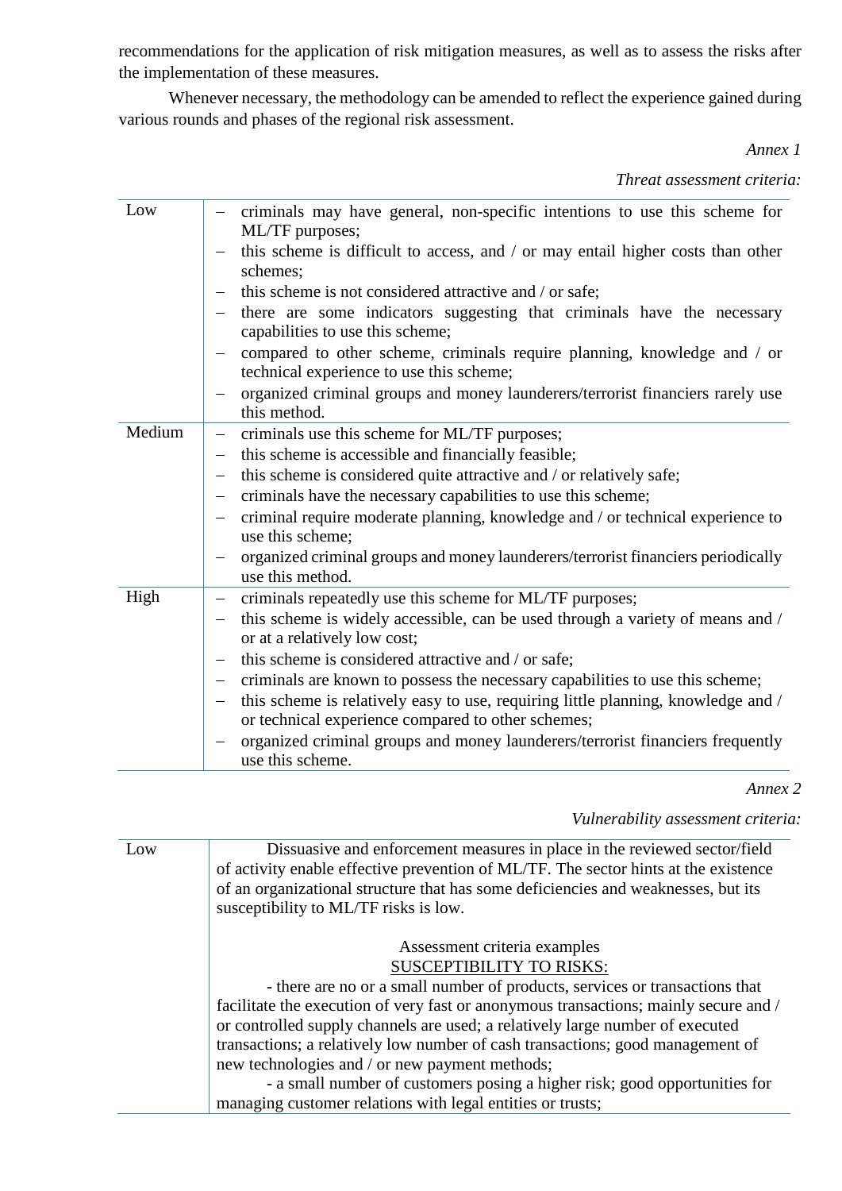recommendations for the application of risk mitigation measures, as well as to assess the risks after the implementation of these measures.

<span id="page-10-0"></span>Whenever necessary, the methodology can be amended to reflect the experience gained during various rounds and phases of the regional risk assessment.

*Annex 1*

*Threat assessment criteria:*

| Low    | criminals may have general, non-specific intentions to use this scheme for                                           |
|--------|----------------------------------------------------------------------------------------------------------------------|
|        | ML/TF purposes;                                                                                                      |
|        | this scheme is difficult to access, and / or may entail higher costs than other                                      |
|        | schemes;                                                                                                             |
|        | this scheme is not considered attractive and / or safe;                                                              |
|        | there are some indicators suggesting that criminals have the necessary<br>capabilities to use this scheme;           |
|        | compared to other scheme, criminals require planning, knowledge and / or<br>technical experience to use this scheme; |
|        | organized criminal groups and money launderers/terrorist financiers rarely use                                       |
|        | this method.                                                                                                         |
| Medium | criminals use this scheme for ML/TF purposes;<br>-                                                                   |
|        | this scheme is accessible and financially feasible;<br>$\qquad \qquad -$                                             |
|        | this scheme is considered quite attractive and / or relatively safe;<br>$\overline{\phantom{m}}$                     |
|        | criminals have the necessary capabilities to use this scheme;<br>$\qquad \qquad -$                                   |
|        | criminal require moderate planning, knowledge and / or technical experience to                                       |
|        | use this scheme;                                                                                                     |
|        | organized criminal groups and money launderers/terrorist financiers periodically                                     |
|        | use this method.                                                                                                     |
| High   | criminals repeatedly use this scheme for ML/TF purposes;<br>$\qquad \qquad -$                                        |
|        | this scheme is widely accessible, can be used through a variety of means and /                                       |
|        | or at a relatively low cost;                                                                                         |
|        | this scheme is considered attractive and / or safe;<br>$\qquad \qquad -$                                             |
|        | criminals are known to possess the necessary capabilities to use this scheme;<br>$\qquad \qquad -$                   |
|        | this scheme is relatively easy to use, requiring little planning, knowledge and /                                    |
|        | or technical experience compared to other schemes;                                                                   |
|        | organized criminal groups and money launderers/terrorist financiers frequently                                       |
|        | use this scheme.                                                                                                     |

*Annex 2*

*Vulnerability assessment criteria:*

<span id="page-10-1"></span>

| Low | Dissuasive and enforcement measures in place in the reviewed sector/field<br>of activity enable effective prevention of ML/TF. The sector hints at the existence |
|-----|------------------------------------------------------------------------------------------------------------------------------------------------------------------|
|     | of an organizational structure that has some deficiencies and weaknesses, but its<br>susceptibility to ML/TF risks is low.                                       |
|     |                                                                                                                                                                  |
|     | Assessment criteria examples                                                                                                                                     |
|     | <b>SUSCEPTIBILITY TO RISKS:</b>                                                                                                                                  |
|     | - there are no or a small number of products, services or transactions that                                                                                      |
|     | facilitate the execution of very fast or anonymous transactions; mainly secure and /                                                                             |
|     | or controlled supply channels are used; a relatively large number of executed                                                                                    |
|     | transactions; a relatively low number of cash transactions; good management of                                                                                   |
|     | new technologies and / or new payment methods;                                                                                                                   |
|     | - a small number of customers posing a higher risk; good opportunities for                                                                                       |
|     | managing customer relations with legal entities or trusts;                                                                                                       |
|     |                                                                                                                                                                  |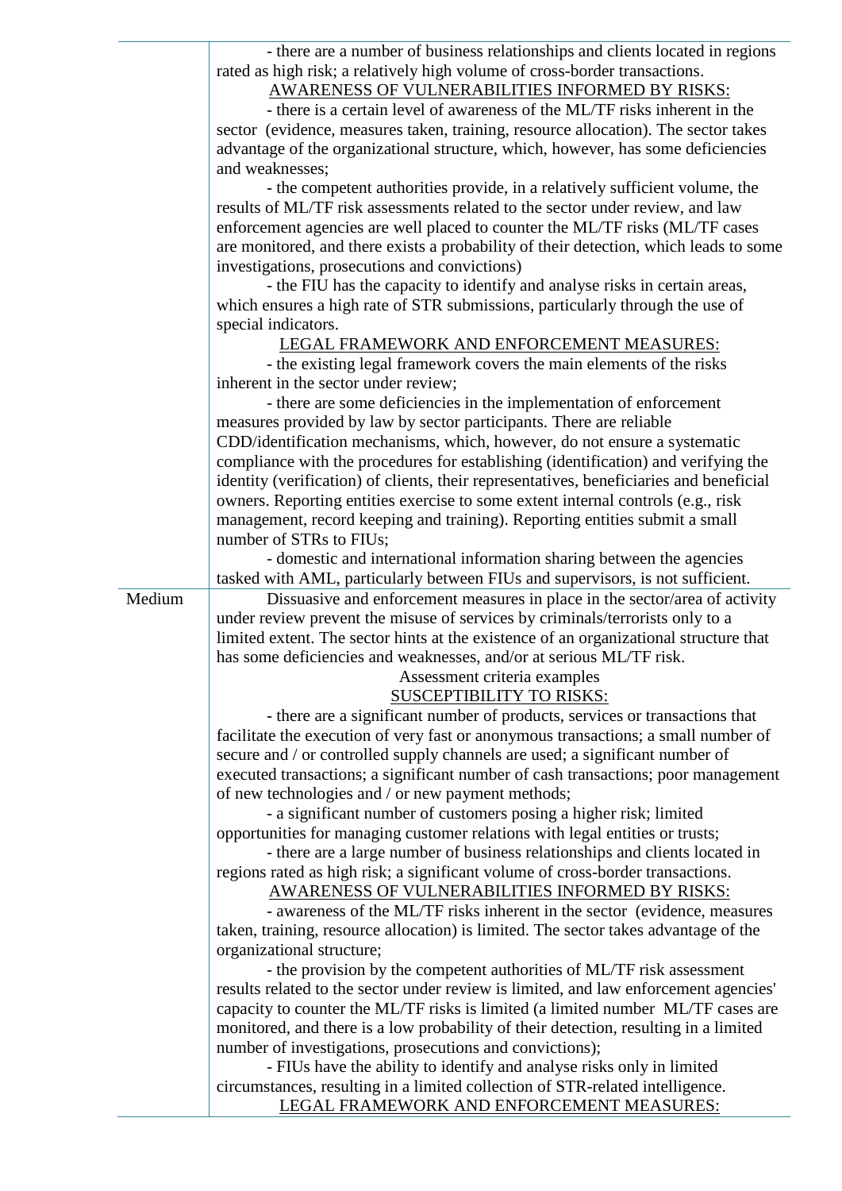|        | - there are a number of business relationships and clients located in regions<br>rated as high risk; a relatively high volume of cross-border transactions.<br>AWARENESS OF VULNERABILITIES INFORMED BY RISKS:<br>- there is a certain level of awareness of the ML/TF risks inherent in the<br>sector (evidence, measures taken, training, resource allocation). The sector takes<br>advantage of the organizational structure, which, however, has some deficiencies<br>and weaknesses; |
|--------|-------------------------------------------------------------------------------------------------------------------------------------------------------------------------------------------------------------------------------------------------------------------------------------------------------------------------------------------------------------------------------------------------------------------------------------------------------------------------------------------|
|        | - the competent authorities provide, in a relatively sufficient volume, the<br>results of ML/TF risk assessments related to the sector under review, and law                                                                                                                                                                                                                                                                                                                              |
|        | enforcement agencies are well placed to counter the ML/TF risks (ML/TF cases<br>are monitored, and there exists a probability of their detection, which leads to some                                                                                                                                                                                                                                                                                                                     |
|        | investigations, prosecutions and convictions)                                                                                                                                                                                                                                                                                                                                                                                                                                             |
|        | - the FIU has the capacity to identify and analyse risks in certain areas,<br>which ensures a high rate of STR submissions, particularly through the use of                                                                                                                                                                                                                                                                                                                               |
|        | special indicators.                                                                                                                                                                                                                                                                                                                                                                                                                                                                       |
|        | LEGAL FRAMEWORK AND ENFORCEMENT MEASURES:<br>- the existing legal framework covers the main elements of the risks                                                                                                                                                                                                                                                                                                                                                                         |
|        | inherent in the sector under review;                                                                                                                                                                                                                                                                                                                                                                                                                                                      |
|        | - there are some deficiencies in the implementation of enforcement                                                                                                                                                                                                                                                                                                                                                                                                                        |
|        | measures provided by law by sector participants. There are reliable                                                                                                                                                                                                                                                                                                                                                                                                                       |
|        | CDD/identification mechanisms, which, however, do not ensure a systematic                                                                                                                                                                                                                                                                                                                                                                                                                 |
|        | compliance with the procedures for establishing (identification) and verifying the                                                                                                                                                                                                                                                                                                                                                                                                        |
|        | identity (verification) of clients, their representatives, beneficiaries and beneficial                                                                                                                                                                                                                                                                                                                                                                                                   |
|        | owners. Reporting entities exercise to some extent internal controls (e.g., risk                                                                                                                                                                                                                                                                                                                                                                                                          |
|        | management, record keeping and training). Reporting entities submit a small<br>number of STRs to FIUs;                                                                                                                                                                                                                                                                                                                                                                                    |
|        | - domestic and international information sharing between the agencies                                                                                                                                                                                                                                                                                                                                                                                                                     |
|        | tasked with AML, particularly between FIUs and supervisors, is not sufficient.                                                                                                                                                                                                                                                                                                                                                                                                            |
| Medium | Dissuasive and enforcement measures in place in the sector/area of activity                                                                                                                                                                                                                                                                                                                                                                                                               |
|        | under review prevent the misuse of services by criminals/terrorists only to a                                                                                                                                                                                                                                                                                                                                                                                                             |
|        | limited extent. The sector hints at the existence of an organizational structure that<br>has some deficiencies and weaknesses, and/or at serious ML/TF risk.                                                                                                                                                                                                                                                                                                                              |
|        | Assessment criteria examples                                                                                                                                                                                                                                                                                                                                                                                                                                                              |
|        | <b>SUSCEPTIBILITY TO RISKS:</b>                                                                                                                                                                                                                                                                                                                                                                                                                                                           |
|        | - there are a significant number of products, services or transactions that                                                                                                                                                                                                                                                                                                                                                                                                               |
|        | facilitate the execution of very fast or anonymous transactions; a small number of                                                                                                                                                                                                                                                                                                                                                                                                        |
|        | secure and / or controlled supply channels are used; a significant number of                                                                                                                                                                                                                                                                                                                                                                                                              |
|        | executed transactions; a significant number of cash transactions; poor management                                                                                                                                                                                                                                                                                                                                                                                                         |
|        | of new technologies and / or new payment methods;                                                                                                                                                                                                                                                                                                                                                                                                                                         |
|        | - a significant number of customers posing a higher risk; limited                                                                                                                                                                                                                                                                                                                                                                                                                         |
|        | opportunities for managing customer relations with legal entities or trusts;                                                                                                                                                                                                                                                                                                                                                                                                              |
|        | - there are a large number of business relationships and clients located in                                                                                                                                                                                                                                                                                                                                                                                                               |
|        | regions rated as high risk; a significant volume of cross-border transactions.<br>AWARENESS OF VULNERABILITIES INFORMED BY RISKS:                                                                                                                                                                                                                                                                                                                                                         |
|        | - awareness of the ML/TF risks inherent in the sector (evidence, measures                                                                                                                                                                                                                                                                                                                                                                                                                 |
|        | taken, training, resource allocation) is limited. The sector takes advantage of the<br>organizational structure;                                                                                                                                                                                                                                                                                                                                                                          |
|        | - the provision by the competent authorities of ML/TF risk assessment                                                                                                                                                                                                                                                                                                                                                                                                                     |
|        | results related to the sector under review is limited, and law enforcement agencies'                                                                                                                                                                                                                                                                                                                                                                                                      |
|        | capacity to counter the ML/TF risks is limited (a limited number ML/TF cases are                                                                                                                                                                                                                                                                                                                                                                                                          |
|        | monitored, and there is a low probability of their detection, resulting in a limited                                                                                                                                                                                                                                                                                                                                                                                                      |
|        | number of investigations, prosecutions and convictions);                                                                                                                                                                                                                                                                                                                                                                                                                                  |
|        | - FIUs have the ability to identify and analyse risks only in limited                                                                                                                                                                                                                                                                                                                                                                                                                     |
|        | circumstances, resulting in a limited collection of STR-related intelligence.<br>LEGAL FRAMEWORK AND ENFORCEMENT MEASURES:                                                                                                                                                                                                                                                                                                                                                                |
|        |                                                                                                                                                                                                                                                                                                                                                                                                                                                                                           |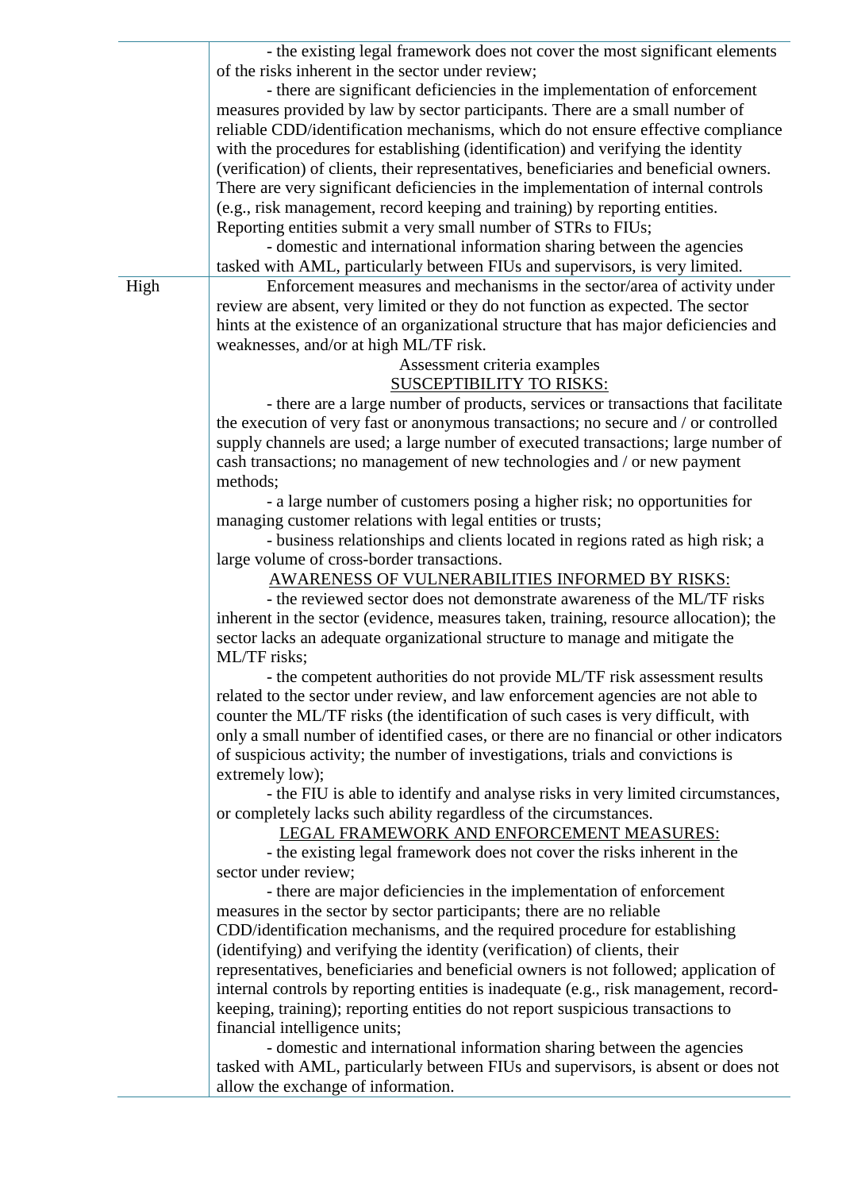|      | - the existing legal framework does not cover the most significant elements<br>of the risks inherent in the sector under review;<br>- there are significant deficiencies in the implementation of enforcement<br>measures provided by law by sector participants. There are a small number of<br>reliable CDD/identification mechanisms, which do not ensure effective compliance<br>with the procedures for establishing (identification) and verifying the identity<br>(verification) of clients, their representatives, beneficiaries and beneficial owners.<br>There are very significant deficiencies in the implementation of internal controls<br>(e.g., risk management, record keeping and training) by reporting entities.<br>Reporting entities submit a very small number of STRs to FIUs; |
|------|--------------------------------------------------------------------------------------------------------------------------------------------------------------------------------------------------------------------------------------------------------------------------------------------------------------------------------------------------------------------------------------------------------------------------------------------------------------------------------------------------------------------------------------------------------------------------------------------------------------------------------------------------------------------------------------------------------------------------------------------------------------------------------------------------------|
|      | - domestic and international information sharing between the agencies<br>tasked with AML, particularly between FIUs and supervisors, is very limited.                                                                                                                                                                                                                                                                                                                                                                                                                                                                                                                                                                                                                                                  |
| High | Enforcement measures and mechanisms in the sector/area of activity under<br>review are absent, very limited or they do not function as expected. The sector<br>hints at the existence of an organizational structure that has major deficiencies and<br>weaknesses, and/or at high ML/TF risk.                                                                                                                                                                                                                                                                                                                                                                                                                                                                                                         |
|      | Assessment criteria examples<br><b>SUSCEPTIBILITY TO RISKS:</b><br>- there are a large number of products, services or transactions that facilitate                                                                                                                                                                                                                                                                                                                                                                                                                                                                                                                                                                                                                                                    |
|      | the execution of very fast or anonymous transactions; no secure and / or controlled<br>supply channels are used; a large number of executed transactions; large number of<br>cash transactions; no management of new technologies and / or new payment<br>methods;                                                                                                                                                                                                                                                                                                                                                                                                                                                                                                                                     |
|      | - a large number of customers posing a higher risk; no opportunities for<br>managing customer relations with legal entities or trusts;                                                                                                                                                                                                                                                                                                                                                                                                                                                                                                                                                                                                                                                                 |
|      | - business relationships and clients located in regions rated as high risk; a                                                                                                                                                                                                                                                                                                                                                                                                                                                                                                                                                                                                                                                                                                                          |
|      | large volume of cross-border transactions.<br>AWARENESS OF VULNERABILITIES INFORMED BY RISKS:<br>- the reviewed sector does not demonstrate awareness of the ML/TF risks<br>inherent in the sector (evidence, measures taken, training, resource allocation); the<br>sector lacks an adequate organizational structure to manage and mitigate the<br>ML/TF risks;                                                                                                                                                                                                                                                                                                                                                                                                                                      |
|      | - the competent authorities do not provide ML/TF risk assessment results<br>related to the sector under review, and law enforcement agencies are not able to<br>counter the ML/TF risks (the identification of such cases is very difficult, with<br>only a small number of identified cases, or there are no financial or other indicators<br>of suspicious activity; the number of investigations, trials and convictions is                                                                                                                                                                                                                                                                                                                                                                         |
|      | extremely low);<br>- the FIU is able to identify and analyse risks in very limited circumstances,<br>or completely lacks such ability regardless of the circumstances.<br>LEGAL FRAMEWORK AND ENFORCEMENT MEASURES:<br>- the existing legal framework does not cover the risks inherent in the                                                                                                                                                                                                                                                                                                                                                                                                                                                                                                         |
|      | sector under review;<br>- there are major deficiencies in the implementation of enforcement<br>measures in the sector by sector participants; there are no reliable                                                                                                                                                                                                                                                                                                                                                                                                                                                                                                                                                                                                                                    |
|      | CDD/identification mechanisms, and the required procedure for establishing<br>(identifying) and verifying the identity (verification) of clients, their<br>representatives, beneficiaries and beneficial owners is not followed; application of<br>internal controls by reporting entities is inadequate (e.g., risk management, record-<br>keeping, training); reporting entities do not report suspicious transactions to<br>financial intelligence units;                                                                                                                                                                                                                                                                                                                                           |
|      | - domestic and international information sharing between the agencies<br>tasked with AML, particularly between FIUs and supervisors, is absent or does not<br>allow the exchange of information.                                                                                                                                                                                                                                                                                                                                                                                                                                                                                                                                                                                                       |